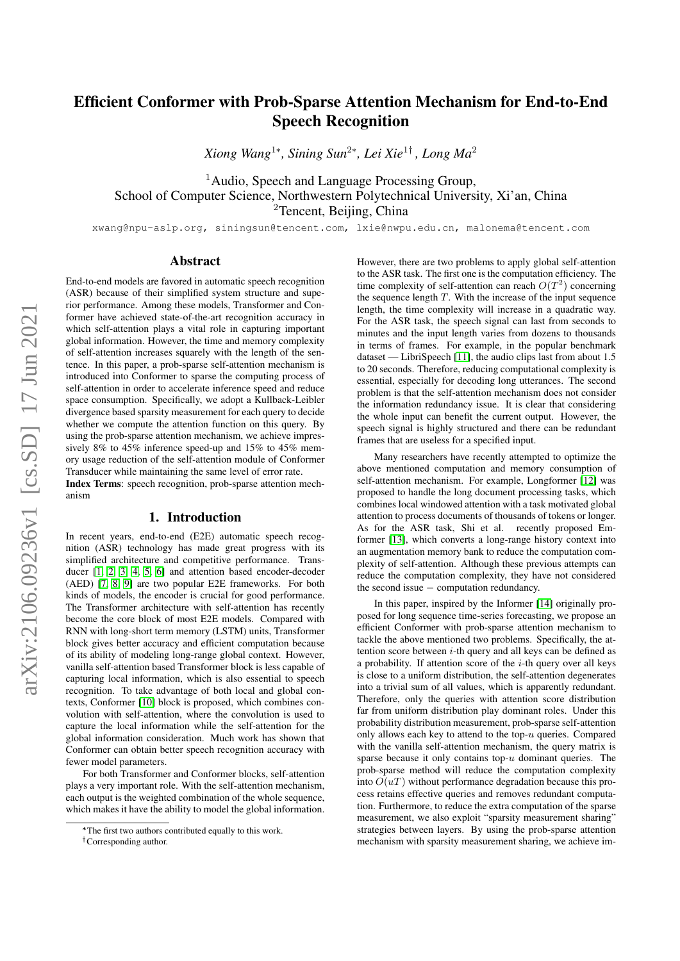# Efficient Conformer with Prob-Sparse Attention Mechanism for End-to-End Speech Recognition

*Xiong Wang*<sup>1</sup><sup>∗</sup> *, Sining Sun*<sup>2</sup><sup>∗</sup> *, Lei Xie*<sup>1</sup>† *, Long Ma*<sup>2</sup>

<sup>1</sup> Audio, Speech and Language Processing Group, School of Computer Science, Northwestern Polytechnical University, Xi'an, China <sup>2</sup>Tencent, Beijing, China

xwang@npu-aslp.org, siningsun@tencent.com, lxie@nwpu.edu.cn, malonema@tencent.com

## Abstract

End-to-end models are favored in automatic speech recognition (ASR) because of their simplified system structure and superior performance. Among these models, Transformer and Conformer have achieved state-of-the-art recognition accuracy in which self-attention plays a vital role in capturing important global information. However, the time and memory complexity of self-attention increases squarely with the length of the sentence. In this paper, a prob-sparse self-attention mechanism is introduced into Conformer to sparse the computing process of self-attention in order to accelerate inference speed and reduce space consumption. Specifically, we adopt a Kullback-Leibler divergence based sparsity measurement for each query to decide whether we compute the attention function on this query. By using the prob-sparse attention mechanism, we achieve impressively 8% to 45% inference speed-up and 15% to 45% memory usage reduction of the self-attention module of Conformer Transducer while maintaining the same level of error rate.

Index Terms: speech recognition, prob-sparse attention mechanism

# 1. Introduction

In recent years, end-to-end (E2E) automatic speech recognition (ASR) technology has made great progress with its simplified architecture and competitive performance. Transducer [\[1,](#page-4-0) [2,](#page-4-1) [3,](#page-4-2) [4,](#page-4-3) [5,](#page-4-4) [6\]](#page-4-5) and attention based encoder-decoder (AED) [\[7,](#page-4-6) [8,](#page-4-7) [9\]](#page-4-8) are two popular E2E frameworks. For both kinds of models, the encoder is crucial for good performance. The Transformer architecture with self-attention has recently become the core block of most E2E models. Compared with RNN with long-short term memory (LSTM) units, Transformer block gives better accuracy and efficient computation because of its ability of modeling long-range global context. However, vanilla self-attention based Transformer block is less capable of capturing local information, which is also essential to speech recognition. To take advantage of both local and global contexts, Conformer [\[10\]](#page-4-9) block is proposed, which combines convolution with self-attention, where the convolution is used to capture the local information while the self-attention for the global information consideration. Much work has shown that Conformer can obtain better speech recognition accuracy with fewer model parameters.

For both Transformer and Conformer blocks, self-attention plays a very important role. With the self-attention mechanism, each output is the weighted combination of the whole sequence, which makes it have the ability to model the global information.

However, there are two problems to apply global self-attention to the ASR task. The first one is the computation efficiency. The time complexity of self-attention can reach  $O(T^2)$  concerning the sequence length  $T$ . With the increase of the input sequence length, the time complexity will increase in a quadratic way. For the ASR task, the speech signal can last from seconds to minutes and the input length varies from dozens to thousands in terms of frames. For example, in the popular benchmark dataset — LibriSpeech [\[11\]](#page-4-10), the audio clips last from about 1.5 to 20 seconds. Therefore, reducing computational complexity is essential, especially for decoding long utterances. The second problem is that the self-attention mechanism does not consider the information redundancy issue. It is clear that considering the whole input can benefit the current output. However, the speech signal is highly structured and there can be redundant frames that are useless for a specified input.

Many researchers have recently attempted to optimize the above mentioned computation and memory consumption of self-attention mechanism. For example, Longformer [\[12\]](#page-4-11) was proposed to handle the long document processing tasks, which combines local windowed attention with a task motivated global attention to process documents of thousands of tokens or longer. As for the ASR task, Shi et al. recently proposed Emformer [\[13\]](#page-4-12), which converts a long-range history context into an augmentation memory bank to reduce the computation complexity of self-attention. Although these previous attempts can reduce the computation complexity, they have not considered the second issue − computation redundancy.

In this paper, inspired by the Informer [\[14\]](#page-4-13) originally proposed for long sequence time-series forecasting, we propose an efficient Conformer with prob-sparse attention mechanism to tackle the above mentioned two problems. Specifically, the attention score between  $i$ -th query and all keys can be defined as a probability. If attention score of the  $i$ -th query over all keys is close to a uniform distribution, the self-attention degenerates into a trivial sum of all values, which is apparently redundant. Therefore, only the queries with attention score distribution far from uniform distribution play dominant roles. Under this probability distribution measurement, prob-sparse self-attention only allows each key to attend to the top- $u$  queries. Compared with the vanilla self-attention mechanism, the query matrix is sparse because it only contains top- $u$  dominant queries. The prob-sparse method will reduce the computation complexity into  $O(uT)$  without performance degradation because this process retains effective queries and removes redundant computation. Furthermore, to reduce the extra computation of the sparse measurement, we also exploit "sparsity measurement sharing" strategies between layers. By using the prob-sparse attention mechanism with sparsity measurement sharing, we achieve im-

<sup>∗</sup>The first two authors contributed equally to this work.

<sup>†</sup>Corresponding author.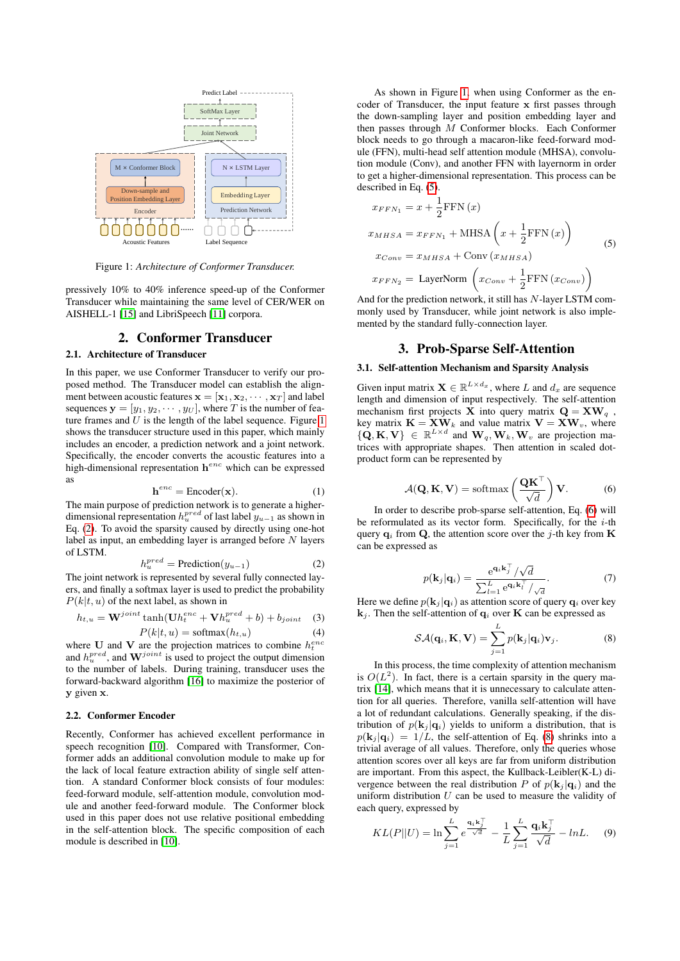<span id="page-1-0"></span>

Figure 1: *Architecture of Conformer Transducer.*

pressively 10% to 40% inference speed-up of the Conformer Transducer while maintaining the same level of CER/WER on AISHELL-1 [\[15\]](#page-4-14) and LibriSpeech [\[11\]](#page-4-10) corpora.

# 2. Conformer Transducer

## 2.1. Architecture of Transducer

In this paper, we use Conformer Transducer to verify our proposed method. The Transducer model can establish the alignment between acoustic features  $\mathbf{x} = [\mathbf{x}_1, \mathbf{x}_2, \cdots, \mathbf{x}_T]$  and label sequences  $y = [y_1, y_2, \dots, y_U]$ , where T is the number of feature frames and  $U$  is the length of the label sequence. Figure [1](#page-1-0) shows the transducer structure used in this paper, which mainly includes an encoder, a prediction network and a joint network. Specifically, the encoder converts the acoustic features into a high-dimensional representation  $h^{enc}$  which can be expressed as

$$
\mathbf{h}^{enc} = \text{Encoder}(\mathbf{x}).\tag{1}
$$

The main purpose of prediction network is to generate a higherdimensional representation  $h_{u}^{pred}$  of last label  $y_{u-1}$  as shown in Eq. [\(2\)](#page-1-1). To avoid the sparsity caused by directly using one-hot label as input, an embedding layer is arranged before  $N$  layers of LSTM.

<span id="page-1-1"></span>
$$
h_u^{pred} = \text{ Prediction}(y_{u-1}) \tag{2}
$$

The joint network is represented by several fully connected layers, and finally a softmax layer is used to predict the probability  $P(k|t, u)$  of the next label, as shown in

$$
h_{t,u} = \mathbf{W}^{joint} \tanh(\mathbf{U} h_t^{enc} + \mathbf{V} h_u^{pred} + b) + b_{joint} \quad (3)
$$

$$
P(k|t, u) = \text{softmax}(h_{t, u}) \tag{4}
$$

where U and V are the projection matrices to combine  $h_t^{enc}$ and  $h_u^{pred}$ , and  $\mathbf{W}^{joint}$  is used to project the output dimension to the number of labels. During training, transducer uses the forward-backward algorithm [\[16\]](#page-4-15) to maximize the posterior of y given x.

#### 2.2. Conformer Encoder

Recently, Conformer has achieved excellent performance in speech recognition [\[10\]](#page-4-9). Compared with Transformer, Conformer adds an additional convolution module to make up for the lack of local feature extraction ability of single self attention. A standard Conformer block consists of four modules: feed-forward module, self-attention module, convolution module and another feed-forward module. The Conformer block used in this paper does not use relative positional embedding in the self-attention block. The specific composition of each module is described in [\[10\]](#page-4-9).

As shown in Figure [1,](#page-1-0) when using Conformer as the encoder of Transducer, the input feature x first passes through the down-sampling layer and position embedding layer and then passes through M Conformer blocks. Each Conformer block needs to go through a macaron-like feed-forward module (FFN), multi-head self attention module (MHSA), convolution module (Conv), and another FFN with layernorm in order to get a higher-dimensional representation. This process can be described in Eq. [\(5\)](#page-1-2).

<span id="page-1-2"></span>
$$
x_{FFN_1} = x + \frac{1}{2} \text{FFN}(x)
$$
  
\n
$$
x_{MHSA} = x_{FFN_1} + \text{MHSA}\left(x + \frac{1}{2} \text{FFN}(x)\right)
$$
  
\n
$$
x_{Conv} = x_{MHSA} + \text{Conv}(x_{MHSA})
$$
  
\n
$$
x_{FFN_2} = \text{LayerNorm}\left(x_{Conv} + \frac{1}{2} \text{FFN}(x_{Conv})\right)
$$
 (5)

And for the prediction network, it still has N-layer LSTM commonly used by Transducer, while joint network is also implemented by the standard fully-connection layer.

# 3. Prob-Sparse Self-Attention

## 3.1. Self-attention Mechanism and Sparsity Analysis

Given input matrix  $\mathbf{X} \in \mathbb{R}^{L \times d_x}$ , where L and  $d_x$  are sequence length and dimension of input respectively. The self-attention mechanism first projects  $\hat{\mathbf{X}}$  into query matrix  $\mathbf{Q} = \mathbf{X}\mathbf{W}_q$ , key matrix  $\mathbf{K} = \mathbf{X}\mathbf{W}_k$  and value matrix  $\mathbf{V} = \mathbf{X}\mathbf{W}_v$ , where  $\{ \mathbf{Q}, \mathbf{K}, \mathbf{V} \} \in \mathbb{R}^{L \times d}$  and  $\mathbf{W}_q, \mathbf{W}_k, \mathbf{W}_v$  are projection matrices with appropriate shapes. Then attention in scaled dotproduct form can be represented by

<span id="page-1-3"></span>
$$
\mathcal{A}(\mathbf{Q}, \mathbf{K}, \mathbf{V}) = \text{softmax}\left(\frac{\mathbf{Q}\mathbf{K}^{\top}}{\sqrt{d}}\right) \mathbf{V}.
$$
 (6)

In order to describe prob-sparse self-attention, Eq. [\(6\)](#page-1-3) will be reformulated as its vector form. Specifically, for the  $i$ -th query  $q_i$  from Q, the attention score over the j-th key from K can be expressed as

$$
p(\mathbf{k}_j|\mathbf{q}_i) = \frac{\mathrm{e}^{\mathbf{q}_i \mathbf{k}_j^\top}/\sqrt{d}}{\sum_{l=1}^L \mathrm{e}^{\mathbf{q}_i \mathbf{k}_l^\top}/\sqrt{d}}.
$$
 (7)

Here we define  $p(\mathbf{k}_j | \mathbf{q}_i)$  as attention score of query  $\mathbf{q}_i$  over key  $\mathbf{k}_i$ . Then the self-attention of  $\mathbf{q}_i$  over **K** can be expressed as

<span id="page-1-4"></span>
$$
SA(\mathbf{q}_i, \mathbf{K}, \mathbf{V}) = \sum_{j=1}^{L} p(\mathbf{k}_j | \mathbf{q}_i) \mathbf{v}_j.
$$
 (8)

In this process, the time complexity of attention mechanism is  $O(L^2)$ . In fact, there is a certain sparsity in the query matrix [\[14\]](#page-4-13), which means that it is unnecessary to calculate attention for all queries. Therefore, vanilla self-attention will have a lot of redundant calculations. Generally speaking, if the distribution of  $p(\mathbf{k}_i | \mathbf{q}_i)$  yields to uniform a distribution, that is  $p(\mathbf{k}_i | \mathbf{q}_i) = 1/L$ , the self-attention of Eq. [\(8\)](#page-1-4) shrinks into a trivial average of all values. Therefore, only the queries whose attention scores over all keys are far from uniform distribution are important. From this aspect, the Kullback-Leibler(K-L) divergence between the real distribution P of  $p(\mathbf{k}_i | \mathbf{q}_i)$  and the uniform distribution  $U$  can be used to measure the validity of each query, expressed by

$$
KL(P||U) = \ln \sum_{j=1}^{L} e^{\frac{\mathbf{q}_i \mathbf{k}_j^{\top}}{\sqrt{d}}} - \frac{1}{L} \sum_{j=1}^{L} \frac{\mathbf{q}_i \mathbf{k}_j^{\top}}{\sqrt{d}} - \ln L. \tag{9}
$$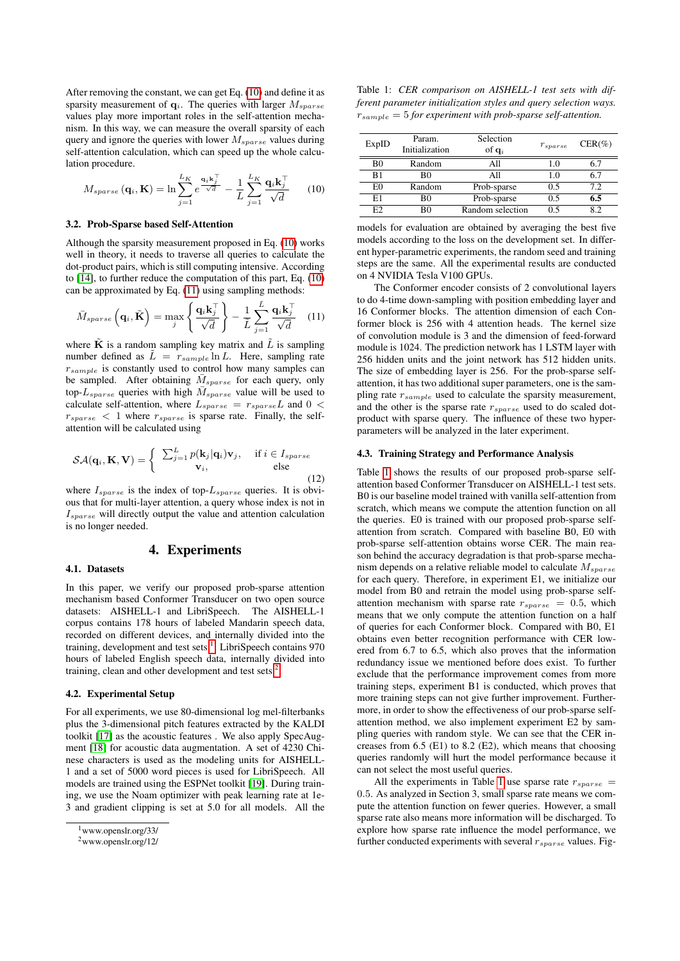After removing the constant, we can get Eq. [\(10\)](#page-2-0) and define it as sparsity measurement of  $q_i$ . The queries with larger  $M_{sparse}$ values play more important roles in the self-attention mechanism. In this way, we can measure the overall sparsity of each query and ignore the queries with lower  $M_{sparse}$  values during self-attention calculation, which can speed up the whole calculation procedure.

<span id="page-2-0"></span>
$$
M_{sparse}\left(\mathbf{q}_i, \mathbf{K}\right) = \ln \sum_{j=1}^{L_K} e^{\frac{\mathbf{q}_i \mathbf{k}_j^{\mathrm{T}}}{\sqrt{d}}} - \frac{1}{L} \sum_{j=1}^{L_K} \frac{\mathbf{q}_i \mathbf{k}_j^{\mathrm{T}}}{\sqrt{d}} \tag{10}
$$

#### 3.2. Prob-Sparse based Self-Attention

Although the sparsity measurement proposed in Eq. [\(10\)](#page-2-0) works well in theory, it needs to traverse all queries to calculate the dot-product pairs, which is still computing intensive. According to [\[14\]](#page-4-13), to further reduce the computation of this part, Eq. [\(10\)](#page-2-0) can be approximated by Eq. [\(11\)](#page-2-1) using sampling methods:

<span id="page-2-1"></span>
$$
\bar{M}_{sparse}\left(\mathbf{q}_{i}, \tilde{\mathbf{K}}\right) = \max_{j} \left\{ \frac{\mathbf{q}_{i} \mathbf{k}_{j}^{\top}}{\sqrt{d}} \right\} - \frac{1}{\tilde{L}} \sum_{j=1}^{\tilde{L}} \frac{\mathbf{q}_{i} \mathbf{k}_{j}^{\top}}{\sqrt{d}} \quad (11)
$$

where  $\bf{K}$  is a random sampling key matrix and  $\bf{L}$  is sampling number defined as  $\tilde{L} = r_{sample} \ln L$ . Here, sampling rate  $r_{sample}$  is constantly used to control how many samples can be sampled. After obtaining  $\bar{M}_{sparse}$  for each query, only top- $L_{sparse}$  queries with high  $\bar{M}_{sparse}$  value will be used to calculate self-attention, where  $L_{sparse} = r_{sparse}L$  and  $0 <$  $r_{sparse}$  < 1 where  $r_{sparse}$  is sparse rate. Finally, the selfattention will be calculated using

$$
\mathcal{SA}(\mathbf{q}_i, \mathbf{K}, \mathbf{V}) = \begin{cases} \sum_{j=1}^{L} p(\mathbf{k}_j | \mathbf{q}_i) \mathbf{v}_j, & \text{if } i \in I_{sparse} \\ \mathbf{v}_i, & \text{else} \end{cases}
$$
(12)

where  $I_{sparse}$  is the index of top- $L_{sparse}$  queries. It is obvious that for multi-layer attention, a query whose index is not in  $I_{sparse}$  will directly output the value and attention calculation is no longer needed.

## 4. Experiments

## 4.1. Datasets

In this paper, we verify our proposed prob-sparse attention mechanism based Conformer Transducer on two open source datasets: AISHELL-1 and LibriSpeech. The AISHELL-1 corpus contains 178 hours of labeled Mandarin speech data, recorded on different devices, and internally divided into the training, development and test sets <sup>[1](#page-2-2)</sup>. LibriSpeech contains 970 hours of labeled English speech data, internally divided into training, clean and other development and test sets  $2$ .

### 4.2. Experimental Setup

For all experiments, we use 80-dimensional log mel-filterbanks plus the 3-dimensional pitch features extracted by the KALDI toolkit [\[17\]](#page-4-16) as the acoustic features . We also apply SpecAugment [\[18\]](#page-4-17) for acoustic data augmentation. A set of 4230 Chinese characters is used as the modeling units for AISHELL-1 and a set of 5000 word pieces is used for LibriSpeech. All models are trained using the ESPNet toolkit [\[19\]](#page-4-18). During training, we use the Noam optimizer with peak learning rate at 1e-3 and gradient clipping is set at 5.0 for all models. All the

<span id="page-2-4"></span>Table 1: *CER comparison on AISHELL-1 test sets with different parameter initialization styles and query selection ways.*  $r_{sample} = 5$  for experiment with prob-sparse self-attention.

| ExpID | Param.<br>Initialization | Selection<br>of $q_i$ | $r_{sparse}$ | $CER(\%)$ |
|-------|--------------------------|-----------------------|--------------|-----------|
| B0    | Random                   | A11                   | 1.0          | 6.7       |
| B1    | B0                       | A11                   | 10           | 6.7       |
| EΩ    | Random                   | Prob-sparse           | 0.5          | 7.2       |
| E1    | B0                       | Prob-sparse           | 0.5          | 6.5       |
| E2    | R٥                       | Random selection      | 0.5          | 82        |

models for evaluation are obtained by averaging the best five models according to the loss on the development set. In different hyper-parametric experiments, the random seed and training steps are the same. All the experimental results are conducted on 4 NVIDIA Tesla V100 GPUs.

The Conformer encoder consists of 2 convolutional layers to do 4-time down-sampling with position embedding layer and 16 Conformer blocks. The attention dimension of each Conformer block is 256 with 4 attention heads. The kernel size of convolution module is 3 and the dimension of feed-forward module is 1024. The prediction network has 1 LSTM layer with 256 hidden units and the joint network has 512 hidden units. The size of embedding layer is 256. For the prob-sparse selfattention, it has two additional super parameters, one is the sampling rate  $r_{sample}$  used to calculate the sparsity measurement, and the other is the sparse rate  $r_{sparse}$  used to do scaled dotproduct with sparse query. The influence of these two hyperparameters will be analyzed in the later experiment.

#### 4.3. Training Strategy and Performance Analysis

Table [1](#page-2-4) shows the results of our proposed prob-sparse selfattention based Conformer Transducer on AISHELL-1 test sets. B0 is our baseline model trained with vanilla self-attention from scratch, which means we compute the attention function on all the queries. E0 is trained with our proposed prob-sparse selfattention from scratch. Compared with baseline B0, E0 with prob-sparse self-attention obtains worse CER. The main reason behind the accuracy degradation is that prob-sparse mechanism depends on a relative reliable model to calculate  $M_{sparse}$ for each query. Therefore, in experiment E1, we initialize our model from B0 and retrain the model using prob-sparse selfattention mechanism with sparse rate  $r_{sparse} = 0.5$ , which means that we only compute the attention function on a half of queries for each Conformer block. Compared with B0, E1 obtains even better recognition performance with CER lowered from 6.7 to 6.5, which also proves that the information redundancy issue we mentioned before does exist. To further exclude that the performance improvement comes from more training steps, experiment B1 is conducted, which proves that more training steps can not give further improvement. Furthermore, in order to show the effectiveness of our prob-sparse selfattention method, we also implement experiment E2 by sampling queries with random style. We can see that the CER increases from 6.5 (E1) to 8.2 (E2), which means that choosing queries randomly will hurt the model performance because it can not select the most useful queries.

All the experiments in Table [1](#page-2-4) use sparse rate  $r_{sparse}$  = 0.5. As analyzed in Section 3, small sparse rate means we compute the attention function on fewer queries. However, a small sparse rate also means more information will be discharged. To explore how sparse rate influence the model performance, we further conducted experiments with several  $r_{sparse}$  values. Fig-

<span id="page-2-2"></span><sup>1</sup>www.openslr.org/33/

<span id="page-2-3"></span><sup>2</sup>www.openslr.org/12/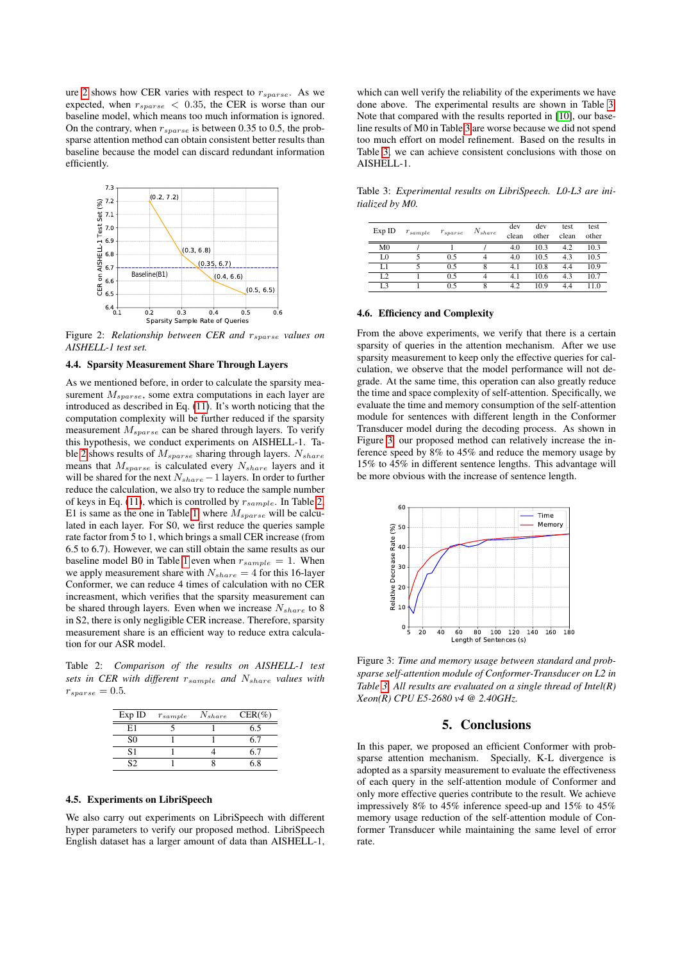ure [2](#page-3-0) shows how CER varies with respect to  $r_{sparse}$ . As we expected, when  $r_{sparse}$  < 0.35, the CER is worse than our baseline model, which means too much information is ignored. On the contrary, when  $r_{sparse}$  is between 0.35 to 0.5, the probsparse attention method can obtain consistent better results than baseline because the model can discard redundant information efficiently.

<span id="page-3-0"></span>

Figure 2: *Relationship between CER and*  $r_{sparse}$  *values on AISHELL-1 test set.*

#### 4.4. Sparsity Measurement Share Through Layers

As we mentioned before, in order to calculate the sparsity measurement  $M_{sparse}$ , some extra computations in each layer are introduced as described in Eq. [\(11\)](#page-2-1). It's worth noticing that the computation complexity will be further reduced if the sparsity measurement  $M_{sparse}$  can be shared through layers. To verify this hypothesis, we conduct experiments on AISHELL-1. Ta-ble [2](#page-3-1) shows results of  $M_{sparse}$  sharing through layers.  $N_{share}$ means that  $M_{sparse}$  is calculated every  $N_{share}$  layers and it will be shared for the next  $N_{share} - 1$  layers. In order to further reduce the calculation, we also try to reduce the sample number of keys in Eq. [\(11\)](#page-2-1), which is controlled by  $r_{sample}$ . In Table [2,](#page-3-1) E1 is same as the one in Table [1,](#page-2-4) where  $M_{sparse}$  will be calculated in each layer. For S0, we first reduce the queries sample rate factor from 5 to 1, which brings a small CER increase (from 6.5 to 6.7). However, we can still obtain the same results as our baseline model B0 in Table [1](#page-2-4) even when  $r_{sample} = 1$ . When we apply measurement share with  $N_{share} = 4$  for this 16-layer Conformer, we can reduce 4 times of calculation with no CER increasment, which verifies that the sparsity measurement can be shared through layers. Even when we increase  $N_{share}$  to 8 in S2, there is only negligible CER increase. Therefore, sparsity measurement share is an efficient way to reduce extra calculation for our ASR model.

<span id="page-3-1"></span>Table 2: *Comparison of the results on AISHELL-1 test sets in CER with different* rsample *and* Nshare *values with*  $r_{sparse}=0.5.$ 

| Exp ID         | $r_{sample}$ | $N_{share}$ | $CER(\%)$ |
|----------------|--------------|-------------|-----------|
| E1             |              |             | 6.5       |
| S <sub>0</sub> |              |             |           |
| S1             |              |             | 57        |
| $\mathcal{S}$  |              |             | 68        |

#### 4.5. Experiments on LibriSpeech

We also carry out experiments on LibriSpeech with different hyper parameters to verify our proposed method. LibriSpeech English dataset has a larger amount of data than AISHELL-1,

which can well verify the reliability of the experiments we have done above. The experimental results are shown in Table [3.](#page-3-2) Note that compared with the results reported in [\[10\]](#page-4-9), our baseline results of M0 in Table [3](#page-3-2) are worse because we did not spend too much effort on model refinement. Based on the results in Table [3,](#page-3-2) we can achieve consistent conclusions with those on AISHELL-1.

<span id="page-3-2"></span>Table 3: *Experimental results on LibriSpeech. L0-L3 are initialized by M0.*

| Exp ID         | $r_{sample}$ | $r_{sparse}$ | $N_{share}$ | dev   | dev   | test  | test  |
|----------------|--------------|--------------|-------------|-------|-------|-------|-------|
|                |              |              |             | clean | other | clean | other |
| M <sub>0</sub> |              |              |             | 4.0   | 10.3  | 4.2   | 10.3  |
| L0             |              | 0.5          | 4           | 4.0   | 10.5  | 4.3   | 10.5  |
| L1             |              | 0.5          | 8           | 4.1   | 10.8  | 4.4   | 10.9  |
| L <sub>2</sub> |              | 0.5          | 4           | 4.1   | 10.6  | 4.3   | 10.7  |
| L3             |              | 0.5          | 8           | 4.2   | 10.9  | 4.4   | 11.0  |

#### 4.6. Efficiency and Complexity

From the above experiments, we verify that there is a certain sparsity of queries in the attention mechanism. After we use sparsity measurement to keep only the effective queries for calculation, we observe that the model performance will not degrade. At the same time, this operation can also greatly reduce the time and space complexity of self-attention. Specifically, we evaluate the time and memory consumption of the self-attention module for sentences with different length in the Conformer Transducer model during the decoding process. As shown in Figure [3,](#page-3-3) our proposed method can relatively increase the inference speed by 8% to 45% and reduce the memory usage by 15% to 45% in different sentence lengths. This advantage will be more obvious with the increase of sentence length.

<span id="page-3-3"></span>

Figure 3: *Time and memory usage between standard and probsparse self-attention module of Conformer-Transducer on L2 in Table [3.](#page-3-3) All results are evaluated on a single thread of Intel(R) Xeon(R) CPU E5-2680 v4 @ 2.40GHz.*

# 5. Conclusions

In this paper, we proposed an efficient Conformer with probsparse attention mechanism. Specially, K-L divergence is adopted as a sparsity measurement to evaluate the effectiveness of each query in the self-attention module of Conformer and only more effective queries contribute to the result. We achieve impressively 8% to 45% inference speed-up and 15% to 45% memory usage reduction of the self-attention module of Conformer Transducer while maintaining the same level of error rate.